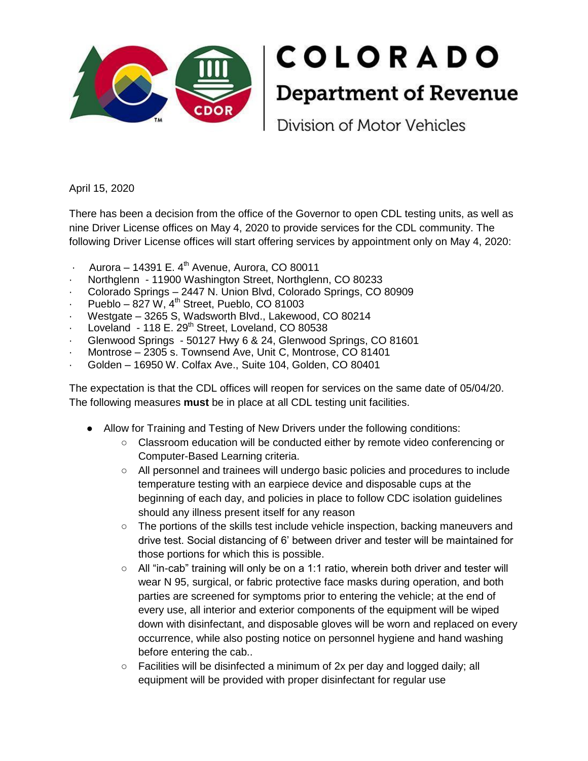

April 15, 2020

There has been a decision from the office of the Governor to open CDL testing units, as well as nine Driver License offices on May 4, 2020 to provide services for the CDL community. The following Driver License offices will start offering services by appointment only on May 4, 2020:

- Aurora 14391 E.  $4<sup>th</sup>$  Avenue, Aurora, CO 80011
- Northglenn 11900 Washington Street, Northglenn, CO 80233
- · Colorado Springs 2447 N. Union Blvd, Colorado Springs, CO 80909
- $\cdot$  Pueblo 827 W, 4<sup>th</sup> Street, Pueblo, CO 81003
- Westgate 3265 S, Wadsworth Blvd., Lakewood, CO 80214
- Loveland 118 E. 29<sup>th</sup> Street, Loveland, CO 80538
- · Glenwood Springs 50127 Hwy 6 & 24, Glenwood Springs, CO 81601
- Montrose 2305 s. Townsend Ave, Unit C, Montrose, CO 81401
- · Golden 16950 W. Colfax Ave., Suite 104, Golden, CO 80401

The expectation is that the CDL offices will reopen for services on the same date of 05/04/20. The following measures **must** be in place at all CDL testing unit facilities.

- Allow for Training and Testing of New Drivers under the following conditions:
	- Classroom education will be conducted either by remote video conferencing or Computer-Based Learning criteria.
	- All personnel and trainees will undergo basic policies and procedures to include temperature testing with an earpiece device and disposable cups at the beginning of each day, and policies in place to follow CDC isolation guidelines should any illness present itself for any reason
	- The portions of the skills test include vehicle inspection, backing maneuvers and drive test. Social distancing of 6' between driver and tester will be maintained for those portions for which this is possible.
	- $\circ$  All "in-cab" training will only be on a 1:1 ratio, wherein both driver and tester will wear N 95, surgical, or fabric protective face masks during operation, and both parties are screened for symptoms prior to entering the vehicle; at the end of every use, all interior and exterior components of the equipment will be wiped down with disinfectant, and disposable gloves will be worn and replaced on every occurrence, while also posting notice on personnel hygiene and hand washing before entering the cab..
	- Facilities will be disinfected a minimum of 2x per day and logged daily; all equipment will be provided with proper disinfectant for regular use